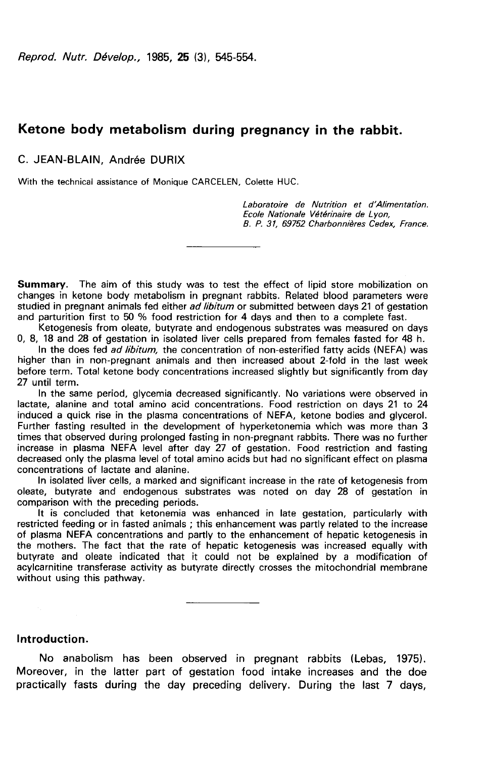# Ketone body metabolism during pregnancy in the rabbit.

### C. JEAN-BLAIN, Andrée DURIX

With the technical assistance of Monique CARCELEN, Colette HUC.

Laboratoire de Nutrition et d'Alimentation. Ecole Nationale Vétérinaire de Lyon, B. P. 31, 69752 Charbonnières Cedex, France.

Summary. The aim of this study was to test the effect of lipid store mobilization on changes in ketone body metabolism in pregnant rabbits. Related blood parameters were studied in pregnant animals fed either ad libitum or submitted between days 21 of gestation and parturition first to 50 % food restriction for 4 days and then to a complete fast.

Ketogenesis from oleate, butyrate and endogenous substrates was measured on days 0, 8, 18 and 28 of gestation in isolated liver cells prepared from females fasted for 48 h.

In the does fed ad libitum, the concentration of non-esterified fatty acids (NEFA) was higher than in non-pregnant animals and then increased about 2-fold in the last week before term. Total ketone body concentrations increased slightly but significantly from day 27 until term.

In the same period, glycemia decreased significantly. No variations were observed in lactate, alanine and total amino acid concentrations. Food restriction on days 21 to 24 induced a quick rise in the plasma concentrations of NEFA, ketone bodies and glycerol. Further fasting resulted in the development of hyperketonemia which was more than 3 times that observed during prolonged fasting in non-pregnant rabbits. There was no further increase in plasma NEFA level after day 27 of gestation. Food restriction and fasting decreased only the plasma level of total amino acids but had no significant effect on plasma concentrations of lactate and alanine.

In isolated liver cells, a marked and significant increase in the rate of ketogenesis from oleate, butyrate and endogenous substrates was noted on day 28 of gestation in comparison with the preceding periods.

It is concluded that ketonemia was enhanced in late gestation, particularly with restricted feeding or in fasted animals ; this enhancement was partly related to the increase of plasma NEFA concentrations and partly to the enhancement of hepatic ketogenesis in the mothers. The fact that the rate of hepatic ketogenesis was increased equally with butyrate and oleate indicated that it could not be explained by a modification of acylcarnitine transferase activity as butyrate directly crosses the mitochondrial membrane without using this pathway.

#### Introduction.

No anabolism has been observed in pregnant rabbits (Lebas, 1975). Moreover, in the latter part of gestation food intake increases and the doe practically fasts during the day preceding delivery. During the last 7 days,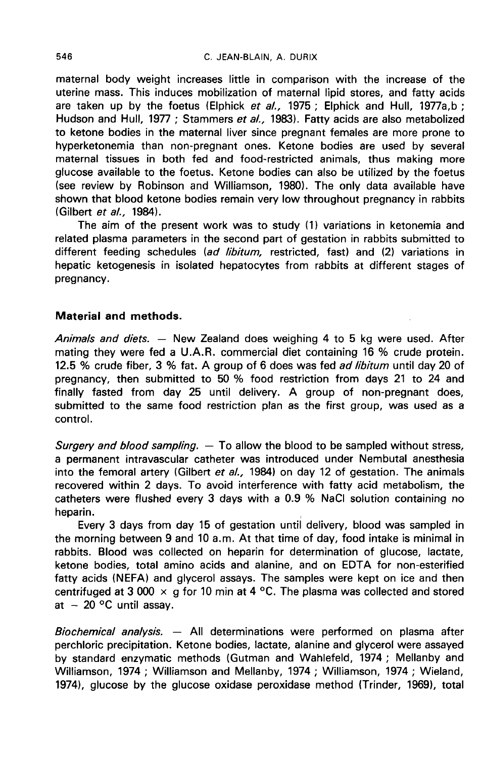maternal body weight increases little in comparison with the increase of the uterine mass. This induces mobilization of maternal lipid stores, and fatty acids are taken up by the foetus (Elphick et al., 1975; Elphick and Hull, 1977a, b; Hudson and Hull, 1977 ; Stammers et al., 1983). Fatty acids are also metabolized to ketone bodies in the maternal liver since pregnant females are more prone to hyperketonemia than non-pregnant ones. Ketone bodies are used by several maternal tissues in both fed and food-restricted animals, thus making more glucose available to the foetus. Ketone bodies can also be utilized by the foetus (see review by Robinson and Williamson, 1980). The only data available have shown that blood ketone bodies remain very low throughout pregnancy in rabbits (Gilbert et al., 1984).

The aim of the present work was to study (1) variations in ketonemia and related plasma parameters in the second part of gestation in rabbits submitted to different feeding schedules (ad libitum, restricted, fast) and (2) variations in hepatic ketogenesis in isolated hepatocytes from rabbits at different stages of pregnancy.

## Material and methods. ,

Animals and diets.  $-$  New Zealand does weighing 4 to 5 kg were used. After mating they were fed a U.A.R. commercial diet containing 16 % crude protein. 12.5 % crude fiber, 3 % fat. A group of 6 does was fed *ad libitum* until day 20 of pregnancy, then submitted to 50 % food restriction from days 21 to 24 and finally fasted from day 25 until delivery. A group of non-pregnant does, submitted to the same food restriction plan as the first group, was used as a control.

Surgery and blood sampling.  $-$  To allow the blood to be sampled without stress, a permanent intravascular catheter was introduced under Nembutal anesthesia into the femoral artery (Gilbert et  $al.$ , 1984) on day 12 of gestation. The animals recovered within 2 days. To avoid interference with fatty acid metabolism, the catheters were flushed every 3 days with a 0.9 % NaCl solution containing no

heparin. , Every 3 days from day 15 of gestation until delivery, blood was sampled in the morning between 9 and 10 a.m. At that time of day, food intake is minimal in rabbits. Blood was collected on heparin for determination of glucose, lactate, ketone bodies, total amino acids and alanine, and on EDTA for non-esterified fatty acids (NEFA) and glycerol assays. The samples were kept on ice and then centrifuged at 3 000  $\times$  g for 10 min at 4 °C. The plasma was collected and stored at  $-20$  °C until assay.

Biochemical analysis. — All determinations were performed on plasma after perchloric precipitation. Ketone bodies, lactate, alanine and glycerol were assayed by standard enzymatic methods (Gutman and Wahlefeld, 1974 ; Mellanby and Williamson, 1974 ; Williamson and Mellanby, 1974 ; Williamson, 1974 ; Wieland, 1974), glucose by the glucose oxidase peroxidase method (Trinder, 1969), total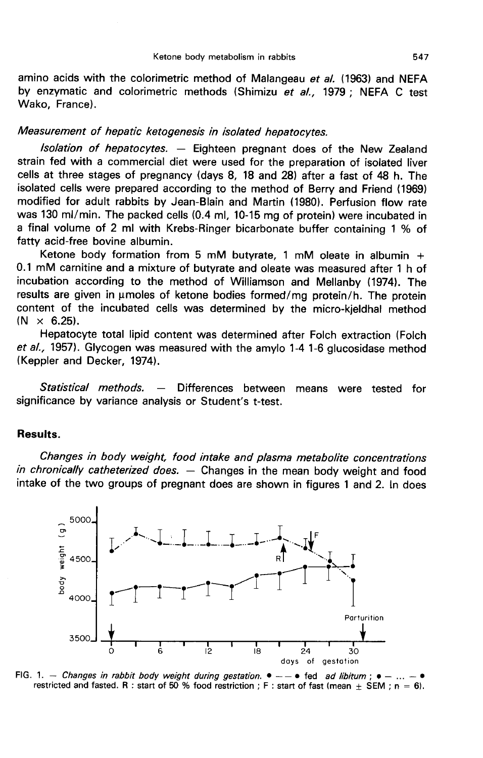amino acids with the colorimetric method of Malangeau et al. (1963) and NEFA by enzymatic and colorimetric methods (Shimizu et al., 1979; NEFA C test Wako, France).

### Measurement of hepatic ketogenesis in isolated hepatocytes.

lsolation of hepatocytes. ― Eighteen pregnant does of the New Zealand strain fed with a commercial diet were used for the preparation of isolated liver cells at three stages of pregnancy (days 8, 18 and 28) after a fast of 48 h. The isolated cells were prepared according to the method of Berry and Friend (1969) modified for adult rabbits by Jean-Blain and Martin (1980). Perfusion flow rate was 130 ml/min. The packed cells (0.4 ml, 10-15 mg of protein) were incubated in a final volume of 2 ml with Krebs-Ringer bicarbonate buffer containing 1 % of fatty acid-free bovine albumin.

Ketone body formation from 5 mM butyrate, 1 mM oleate in albumin  $+$ 0.1 mM carnitine and a mixture of butyrate and oleate was measured after 1 h of incubation according to the method of Williamson and Mellanby (1974). The results are given in umoles of ketone bodies formed/mg protein/h. The protein content of the incubated cells was determined by the micro-kjeldhal method  $(N \times 6.25)$ .

Hepatocyte total lipid content was determined after Folch extraction (Folch et al., 1957). Glycogen was measured with the amylo 1-4 1-6 glucosidase method (Keppler and Decker, 1974).

Statistical methods. — Differences between means were tested for significance by variance analysis or Student's t-test.

### Results.

Changes in body weight, food intake and plasma metabolite concentrations in chronically catheterized does.  $-$  Changes in the mean body weight and food intake of the two groups of pregnant does are shown in figures 1 and 2. In does



FIG. 1. - Changes in rabbit body weight during gestation.  $\bullet$  -  $\bullet$  fed ad libitum;  $\bullet$  restricted and fasted. R : start of 50 % food restriction ; F : start of fast (mean  $\pm$  SEM ; n = 6).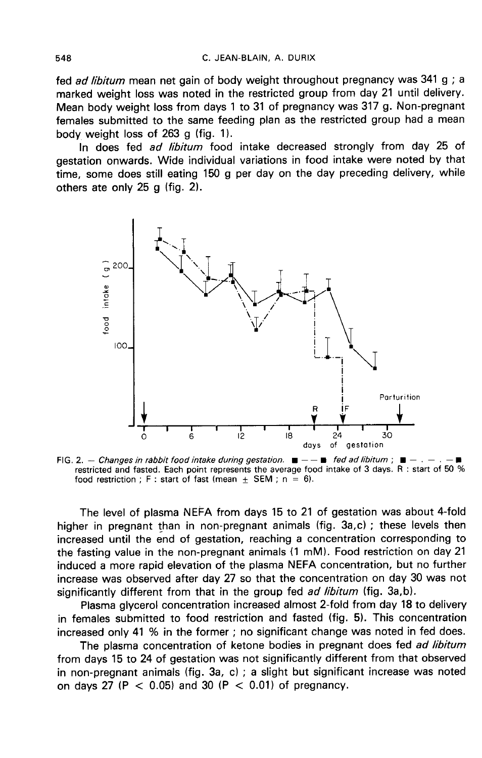fed *ad libitum* mean net gain of body weight throughout pregnancy was 341 g : a marked weight loss was noted in the restricted group from day 21 until delivery. Mean body weight loss from days 1 to 31 of pregnancy was 317 g. Non-pregnant females submitted to the same feeding plan as the restricted group had a mean body weight loss of  $263$  g (fig. 1).

In does fed *ad libitum* food intake decreased strongly from day 25 of gestation onwards. Wide individual variations in food intake were noted by that time, some does still eating 150 g per day on the day preceding delivery, while others ate only 25 g (fig. 2).



FIG. 2. - Changes in rabbit food intake during gestation.  $\blacksquare$  -  $\blacksquare$  fed ad libitum ;  $\blacksquare$ restricted and fasted. Each point represents the average food intake of 3 days. R: start of 50 % food restriction ; F : start of fast (mean  $\pm$  SEM ; n = 6).

The level of plasma NEFA from days 15 to 21 of gestation was about 4-fold higher in pregnant than in non-pregnant animals (fig. 3a,c) ; these levels then increased until the end of gestation, reaching a concentration corresponding to the fasting value in the non-pregnant animals (1 mM). Food restriction on day 21 induced a more rapid elevation of the plasma NEFA concentration, but no further increase was observed after day 27 so that the concentration on day 30 was not significantly different from that in the group fed *ad libitum* (fig. 3a,b).

Plasma glycerol concentration increased almost 2-fold from day 18 to delivery in females submitted to food restriction and fasted (fig. 5). This concentration increased only 41 % in the former ; no significant change was noted in fed does.

The plasma concentration of ketone bodies in pregnant does fed ad libitum from days 15 to 24 of gestation was not significantly different from that observed in non-pregnant animals (fig. 3a, c) ; a slight but significant increase was noted on days 27 (P  $<$  0.05) and 30 (P  $<$  0.01) of pregnancy.

548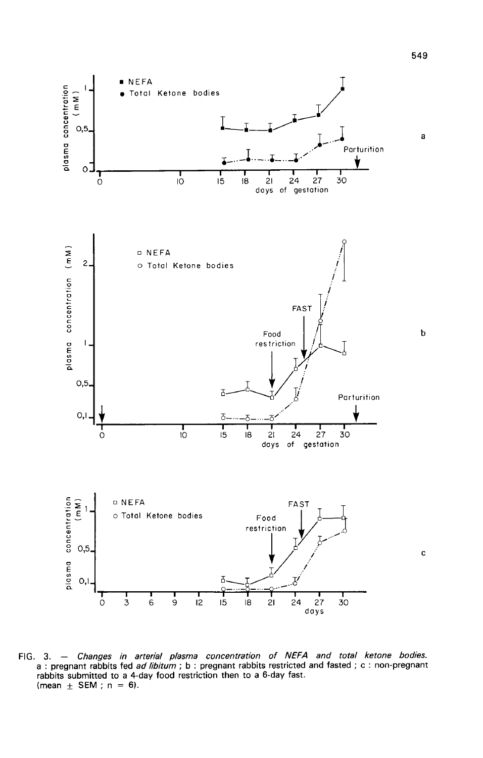

FIG. 3. - Changes in arterial plasma concentration of NEFA and total ketone bodies. a : pregnant rabbits fed ad libitum ; b : pregnant rabbits restricted and fasted ; c : non-pregnant rabbits submitted to a 4-day food restriction then to a 6-day fast. (mean  $\pm$  SEM; n = 6).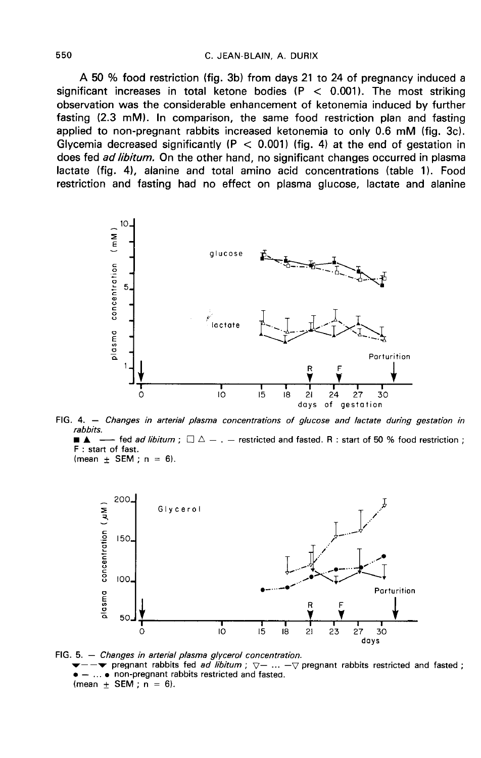A 50 % food restriction (fig. 3b) from days 21 to 24 of pregnancy induced a significant increases in total ketone bodies ( $P < 0.001$ ). The most striking observation was the considerable enhancement of ketonemia induced by further fasting (2.3 mM). In comparison, the same food restriction plan and fasting applied to non-pregnant rabbits increased ketonemia to only 0.6 mM (fig. 3c). Glycemia decreased significantly ( $P < 0.001$ ) (fig. 4) at the end of gestation in does fed ad libitum. On the other hand, no significant changes occurred in plasma lactate (fig. 4), alanine and total amino acid concentrations (table 1). Food restriction and fasting had no effect on plasma glucose, lactate and alanine



FIG. 4. - Changes in arterial plasma concentrations of glucose and lactate during gestation in rabbits. - fed *ad libitum* ;  $\Box \triangle -$  .  $-$  restricted and fasted. R : start of 50 % food restriction ; F : start of fast.





FIG. 5. - Changes in arterial plasma glycerol concentration.  $-\blacktriangleright$  pregnant rabbits fed *ad libitum*;  $\nabla$ - ... - $\nabla$  pregnant rabbits restricted and fasted; ... • non-pregnant rabbits restricted and fasted. (mean  $\pm$  SEM; n = 6).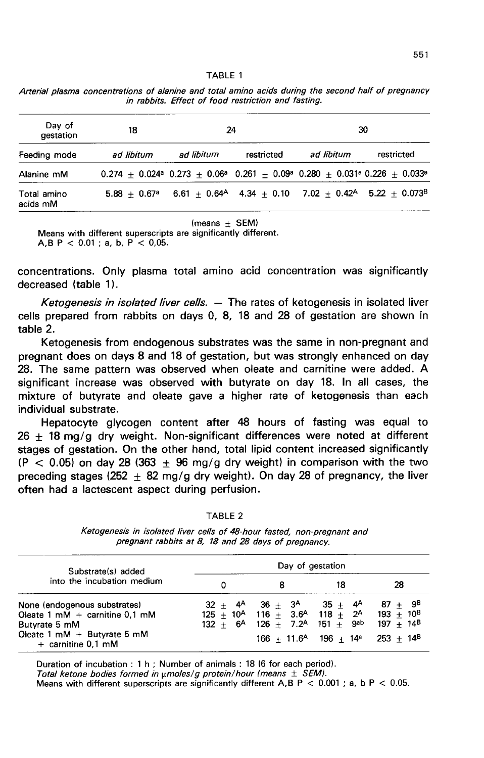| TABLE |  |  |  |  |  |  |
|-------|--|--|--|--|--|--|
|-------|--|--|--|--|--|--|

|  | Arterial plasma concentrations of alanine and total amino acids during the second half of pregnancy |  |  |  |                                                     |  |  |  |
|--|-----------------------------------------------------------------------------------------------------|--|--|--|-----------------------------------------------------|--|--|--|
|  |                                                                                                     |  |  |  | in rabbits. Effect of food restriction and fasting. |  |  |  |

| Day of<br>gestation     | 18                         |            | 24         | 30                                                                                                                                             |            |  |  |  |
|-------------------------|----------------------------|------------|------------|------------------------------------------------------------------------------------------------------------------------------------------------|------------|--|--|--|
| Feeding mode            | ad libitum                 | ad libitum | restricted | ad libitum                                                                                                                                     | restricted |  |  |  |
| Alanine mM              |                            |            |            | $0.274 + 0.024$ <sup>a</sup> $0.273 + 0.06$ <sup>a</sup> $0.261 + 0.09$ <sup>a</sup> $0.280 + 0.031$ <sup>a</sup> $0.226 + 0.033$ <sup>a</sup> |            |  |  |  |
| Total amino<br>acids mM | $5.88 + 0.67$ <sup>a</sup> |            |            | $6.61 + 0.64$ <sup>A</sup> $4.34 + 0.10$ $7.02 + 0.42$ <sup>A</sup> $5.22 + 0.073$ <sup>B</sup>                                                |            |  |  |  |

(means  $\pm$  SEM) Means with different superscripts are significantly different. A.B P <  $0.01$  : a, b, P <  $0.05$ .

concentrations. Only plasma total amino acid concentration was significantly decreased (table 1).

Ketogenesis in isolated liver cells.  $-$  The rates of ketogenesis in isolated liver cells prepared from rabbits on days 0, 8, 18 and 28 of gestation are shown in table 2.

Ketogenesis from endogenous substrates was the same in non-pregnant and pregnant does on days 8 and 18 of gestation, but was strongly enhanced on day 28. The same pattern was observed when oleate and carnitine were added. A significant increase was observed with butyrate on day 18. In all cases, the mixture of butyrate and oleate gave a higher rate of ketogenesis than each individual substrate.

Hepatocyte glycogen content after 48 hours of fasting was equal to  $26 \pm 18$  mg/g dry weight. Non-significant differences were noted at different stages of gestation. On the other hand, total lipid content increased significantly  $(P < 0.05)$  on day 28 (363  $\pm$  96 mg/g dry weight) in comparison with the two preceding stages (252  $\pm$  82 mg/g dry weight). On day 28 of pregnancy, the liver often had a lactescent aspect during perfusion.

| ., | .BL |  |  |
|----|-----|--|--|
|----|-----|--|--|

Ketogenesis in isolated liver cells of 48-hour fasted, non-pregnant and pregnant rabbits at 8, 18 and 28 days of pregnancy.

| Substrate(s) added                                                                                                                          | Day of gestation |                                                                                                                                                                                                               |                                                   |                                            |  |  |  |  |
|---------------------------------------------------------------------------------------------------------------------------------------------|------------------|---------------------------------------------------------------------------------------------------------------------------------------------------------------------------------------------------------------|---------------------------------------------------|--------------------------------------------|--|--|--|--|
| into the incubation medium                                                                                                                  | o                |                                                                                                                                                                                                               | 18                                                | 28                                         |  |  |  |  |
| None (endogenous substrates)<br>Oleate 1 mM + carnitine $0.1$ mM<br>Butyrate 5 mM<br>Oleate 1 $mM + B$ utyrate 5 $mM$<br>+ carnitine 0.1 mM |                  | $32 + 4^{\circ} 36 + 3^{\circ} 35 + 4^{\circ}$<br>$125 + 10^{A}$ 116 + 3.6 <sup>A</sup> 118 + 2 <sup>A</sup> 193 + 10 <sup>B</sup><br>$132 + 6$ <sup>A</sup> $126 + 7.2$ <sup>A</sup> $151 + 9$ <sup>ab</sup> | $166 + 11.6$ <sup>A</sup> $196 + 14$ <sup>a</sup> | $87 + 9^8$<br>$197 + 14^B$<br>$253 + 14^8$ |  |  |  |  |

Duration of incubation : 1 h ; Number of animals : 18 (6 for each period). Total ketone bodies formed in  $\mu$ moles/g protein/hour (means  $\pm$  SEM). Means with different superscripts are significantly different A, B P < 0.001; a, b P < 0.05.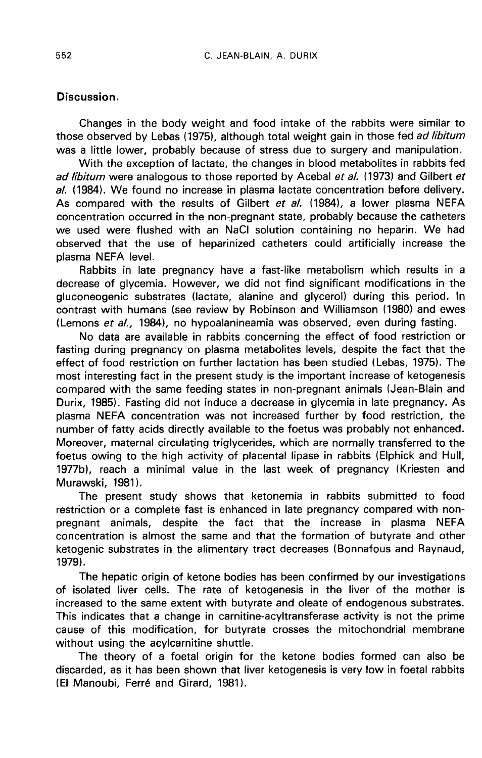## Discussion.

Changes in the body weight and food intake of the rabbits were similar to those observed by Lebas (1975), although total weight gain in those fed ad libitum was a little lower, probably because of stress due to surgery and manipulation.

With the exception of lactate, the changes in blood metabolites in rabbits fed ad libitum were analogous to those reported by Acebal et al. (1973) and Gilbert et al. (1984). We found no increase in plasma lactate concentration before delivery. As compared with the results of Gilbert et al. (1984), a lower plasma NEFA concentration occurred in the non -pregnant state, probably because the catheters we used were flushed with an NaCi solution containing no heparin. We had observed that the use of heparinized catheters could artificially increase the plasma NEFA level.

Rabbits in late pregnancy have a fast-like metabolism which results in a decrease of glycemia. However, we did not find significant modifications in the gluconeogenic substrates (lactate, alanine and glycerol) during this period. In contrast with humans (see review by Robinson and Williamson (1980) and ewes (Lemons et al., 1984), no hypoalanineamia was observed, even during fasting.

No data are available in rabbits concerning the effect of food restriction or fasting during pregnancy on plasma metabolites levels, despite the fact that the effect of food restriction on further lactation has been studied (Lebas, 1975). The most interesting fact in the present study is the important increase of ketogenesis compared with the same feeding states in non-pregnant animals (Jean-Blain and Durix, 1985). Fasting did not induce a decrease in glycemia in late pregnancy. As plasma NEFA concentration was not increased further by food restriction, the number of fatty acids directly available to the foetus was probably not enhanced. Moreover, maternal circulating triglycerides, which are normally transferred to the foetus owing to the high activity of placental lipase in rabbits (Elphick and Hull, 1977b), reach a minimal value in the last week of pregnancy (Kriesten and Murawski, 1981).

The present study shows that ketonemia in rabbits submitted to food restriction or a complete fast is enhanced in late pregnancy compared with nonpregnant animals, despite the fact that the increase in plasma NEFA concentration is almost the same and that the formation of butyrate and other ketogenic substrates in the alimentary tract decreases (Bonnafous and Raynaud, 1979).

The hepatic origin of ketone bodies has been confirmed by our investigations of isolated liver cells. The rate of ketogenesis in the liver of the mother is increased to the same extent with butyrate and oleate of endogenous substrates. This indicates that a change in carnitine-acyltransferase activity is not the prime cause of this modification, for butyrate crosses the mitochondrial membrane without using the acylcarnitine shuttle.

The theory of a foetal origin for the ketone bodies formed can also be discarded, as it has been shown that liver ketogenesis is very low in foetal rabbits (El Manoubi, Ferré and Girard, 1981).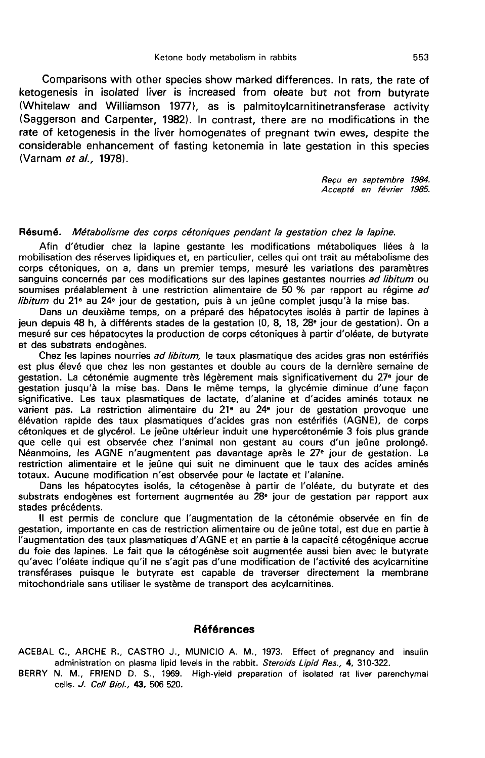Comparisons with other species show marked differences. In rats, the rate of ketogenesis in isolated liver is increased from oleate but not from butyrate (Whitelaw and Williamson 1977), as is paimitoylcarnitinetransferase activity (Saggerson and Carpenter, 1982). In contrast, there are no modifications in the rate of ketogenesis in the liver homogenates of pregnant twin ewes, despite the considerable enhancement of fasting ketonemia in late gestation in this species (Varnam et al., 1978).

> Reçu en septembre 1984. Accept6 en février 1985.

#### Résumé. Métabolisme des corps cétoniques pendant la gestation chez la lapine.

Afin d'étudier chez la lapine gestante les modifications métaboliques liées à la mobilisation des réserves lipidiques et, en particulier, celles qui ont trait au métabolisme des corps cétoniques, on a, dans un premier temps, mesuré les variations des paramètres sanguins concernés par ces modifications sur des lapines gestantes nourries ad libitum ou soumises préalablement à une restriction alimentaire de 50 % par rapport au régime ad libitum du 21<sup> $e$ </sup> au 24 $e$  jour de gestation, puis à un jeûne complet jusqu'à la mise bas.

Dans un deuxième temps, on a préparé des hépatocytes isolés à partir de lapines à jeun depuis 48 h, à différents stades de la gestation (0, 8, 18, 28<sup>®</sup> jour de gestation). On a mesuré sur ces hépatocytes la production de corps cétoniques à partir d'oléate, de butyrate et des substrats endogènes.

Chez les lapines nourries ad libitum, le taux plasmatique des acides gras non estérifiés est plus élevé que chez les non gestantes et double au cours de la dernière semaine de gestation. La cétonémie augmente très légèrement mais significativement du 27e jour de gestation jusqu'à la mise bas. Dans le même temps, la glycémie diminue d'une façon significative. Les taux plasmatiques de lactate, d'alanine et d'acides aminés totaux ne varient pas. La restriction alimentaire du 2le au 24e jour de gestation provoque une élévation rapide des taux plasmatiques d'acides gras non estérifiés (AGNE), de corps cétoniques et de glycérol. Le jeûne ultérieur induit une hypercétonémie 3 fois plus grande que celle qui est observée chez l'animal non gestant au cours d'un jeûne prolongé. Néanmoins, les AGNE n'augmentent pas davantage après le 27e jour de gestation. La restriction alimentaire et le jeûne qui suit ne diminuent que le taux des acides aminés totaux. Aucune modification n'est observée pour le lactate et l'alanine.

Dans les hépatocytes isolés, la cétogenèse à partir de l'oléate, du butyrate et des substrats endogènes est fortement augmentée au 28e jour de gestation par rapport aux stades précédents.

Il est permis de conclure que l'augmentation de la cétonémie observée en fin de gestation, importante en cas de restriction alimentaire ou de jeûne total, est due en partie à l'augmentation des taux plasmatiques d'AGNE et en partie à la capacité cétogénique accrue du foie des lapines. Le fait que la célogénèse soit augmentée aussi bien avec le butyrate qu'avec l'oléate indique qu'il ne s'agit pas d'une modification de l'activité des acylcarnitine transférases puisque le butyrate est capable de traverser directement la membrane mitochondriale sans utiliser le système de transport des acylcarnitines.

#### Références

ACEBAL C., ARCHE R., CASTRO J., MUNICIO A. M., 1973. Effect of pregnancy and insulin administration on plasma lipid levels in the rabbit. Steroids Lipid Res., 4, 310-322.

BERRY N. M., FRIEND D. S., 1969. High-yield preparation of isolated rat liver parenchymal cells. J. Cell Biol., 43, 506-520.